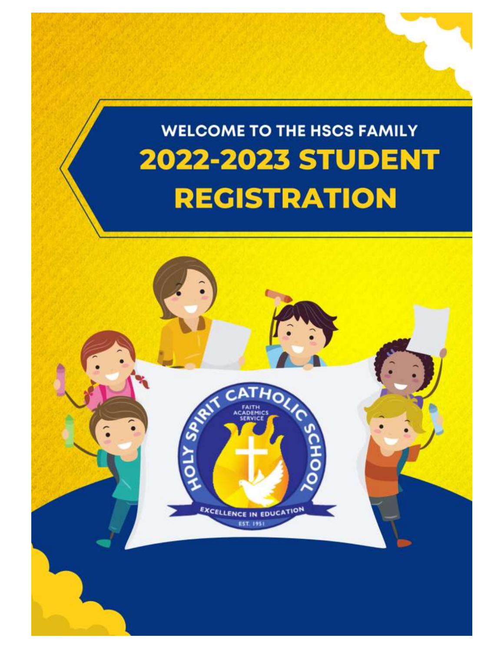

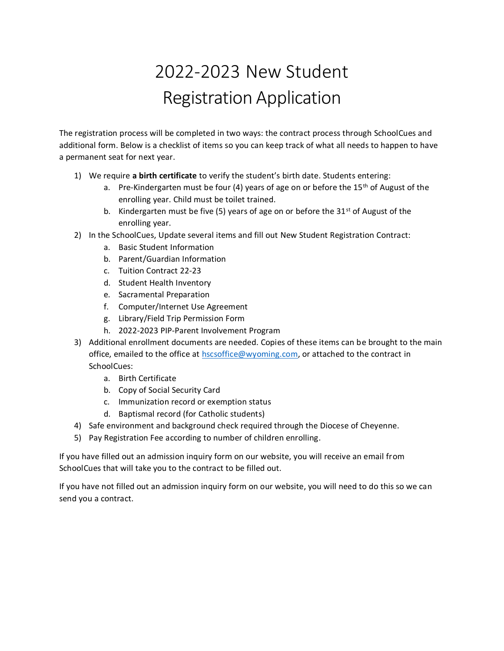# 2022-2023 New Student Registration Application

The registration process will be completed in two ways: the contract process through SchoolCues and additional form. Below is a checklist of items so you can keep track of what all needs to happen to have a permanent seat for next year.

- 1) We require **a birth certificate** to verify the student's birth date. Students entering:
	- a. Pre-Kindergarten must be four (4) years of age on or before the 15<sup>th</sup> of August of the enrolling year. Child must be toilet trained.
	- b. Kindergarten must be five (5) years of age on or before the 31 $st$  of August of the enrolling year.
- 2) In the SchoolCues, Update several items and fill out New Student Registration Contract:
	- a. Basic Student Information
	- b. Parent/Guardian Information
	- c. Tuition Contract 22-23
	- d. Student Health Inventory
	- e. Sacramental Preparation
	- f. Computer/Internet Use Agreement
	- g. Library/Field Trip Permission Form
	- h. 2022-2023 PIP-Parent Involvement Program
- 3) Additional enrollment documents are needed. Copies of these items can be brought to the main office, emailed to the office at [hscsoffice@wyoming.com,](mailto:hscsoffice@wyoming.com) or attached to the contract in SchoolCues:
	- a. Birth Certificate
	- b. Copy of Social Security Card
	- c. Immunization record or exemption status
	- d. Baptismal record (for Catholic students)
- 4) Safe environment and background check required through the Diocese of Cheyenne.
- 5) Pay Registration Fee according to number of children enrolling.

If you have filled out an admission inquiry form on our website, you will receive an email from SchoolCues that will take you to the contract to be filled out.

If you have not filled out an admission inquiry form on our website, you will need to do this so we can send you a contract.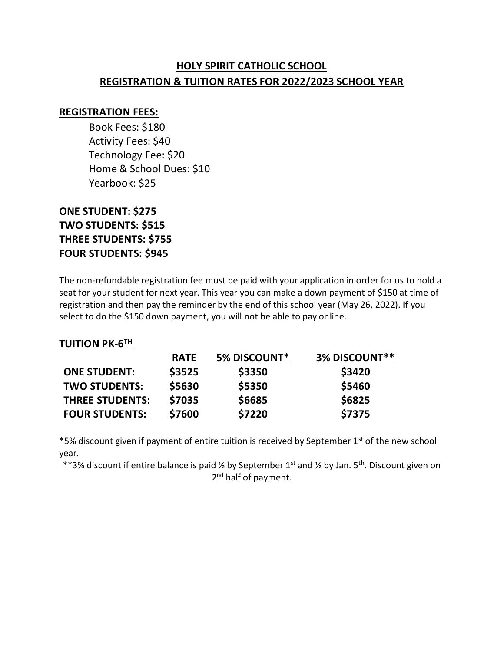### **HOLY SPIRIT CATHOLIC SCHOOL REGISTRATION & TUITION RATES FOR 2022/2023 SCHOOL YEAR**

#### **REGISTRATION FEES:**

Book Fees: \$180 Activity Fees: \$40 Technology Fee: \$20 Home & School Dues: \$10 Yearbook: \$25

#### **ONE STUDENT: \$275 TWO STUDENTS: \$515 THREE STUDENTS: \$755 FOUR STUDENTS: \$945**

The non-refundable registration fee must be paid with your application in order for us to hold a seat for your student for next year. This year you can make a down payment of \$150 at time of registration and then pay the reminder by the end of this school year (May 26, 2022). If you select to do the \$150 down payment, you will not be able to pay online.

#### **TUITION PK-6 TH**

|                        | <b>RATE</b> | <b>5% DISCOUNT*</b> | 3% DISCOUNT** |
|------------------------|-------------|---------------------|---------------|
| <b>ONE STUDENT:</b>    | \$3525      | \$3350              | \$3420        |
| <b>TWO STUDENTS:</b>   | \$5630      | \$5350              | \$5460        |
| <b>THREE STUDENTS:</b> | \$7035      | \$6685              | \$6825        |
| <b>FOUR STUDENTS:</b>  | \$7600      | \$7220              | \$7375        |

\*5% discount given if payment of entire tuition is received by September 1<sup>st</sup> of the new school year.

\*\*3% discount if entire balance is paid  $\frac{1}{2}$  by September 1<sup>st</sup> and  $\frac{1}{2}$  by Jan. 5<sup>th</sup>. Discount given on 2<sup>nd</sup> half of payment.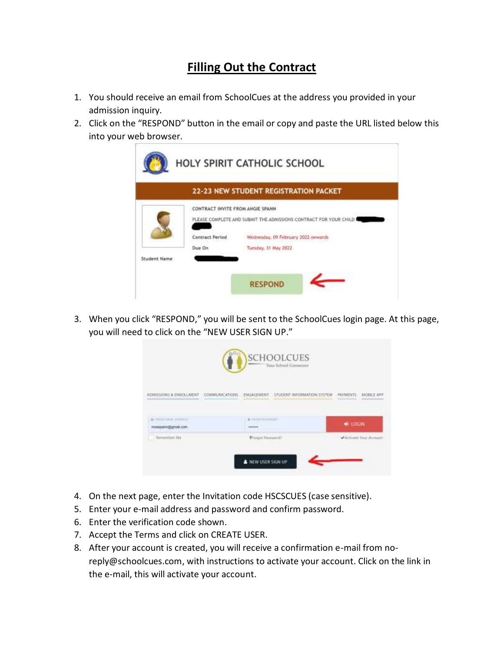## **Filling Out the Contract**

- 1. You should receive an email from SchoolCues at the address you provided in your admission inquiry.
- 2. Click on the "RESPOND" button in the email or copy and paste the URL listed below this into your web browser.



3. When you click "RESPOND," you will be sent to the SchoolCues login page. At this page, you will need to click on the "NEW USER SIGN UP."



- 4. On the next page, enter the Invitation code HSCSCUES (case sensitive).
- 5. Enter your e-mail address and password and confirm password.
- 6. Enter the verification code shown.
- 7. Accept the Terms and click on CREATE USER.
- 8. After your account is created, you will receive a confirmation e-mail from noreply@schoolcues.com, with instructions to activate your account. Click on the link in the e-mail, this will activate your account.